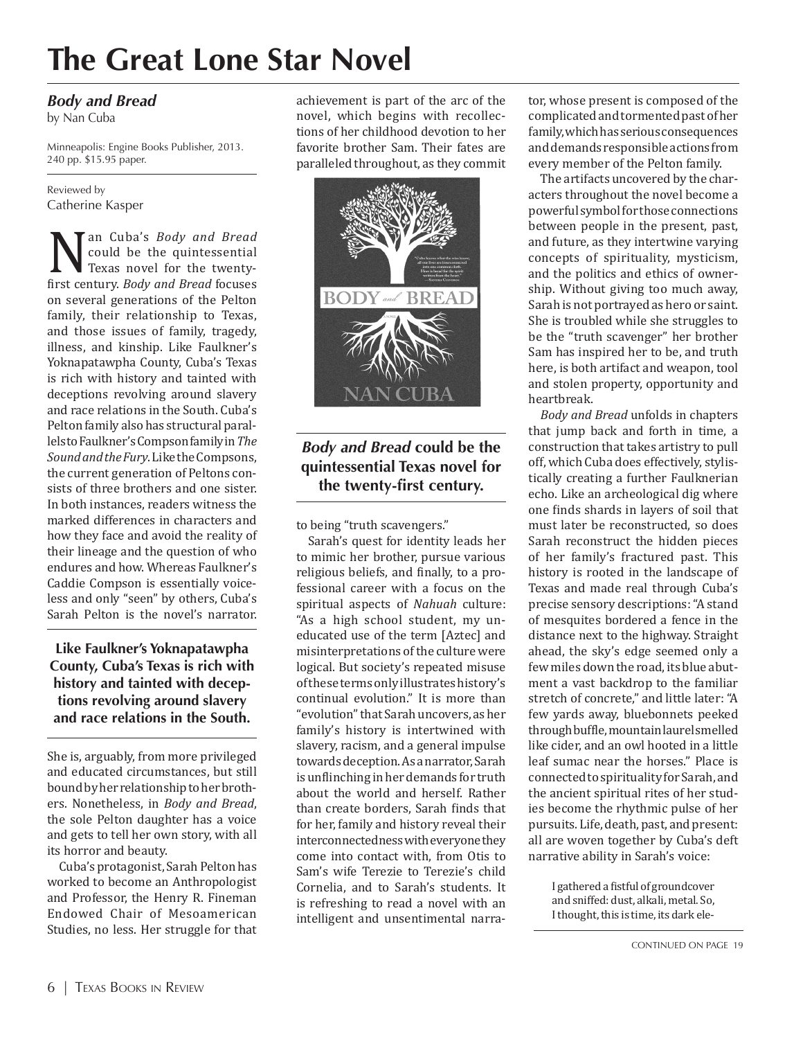# **The Great Lone Star Novel**

#### *Body and Bread*

by Nan Cuba

Minneapolis: Engine Books Publisher, 2013. 240 pp. \$15.95 paper.

Reviewed by Catherine Kasper

**Nan Cuba's** *Body and Bread*<br>could be the quintessential<br>first century. *Body and Bread* focuses<br>sexually *Body and Bread* focuses could be the quintessential Texas novel for the twentyfirst century. *Body and Bread* focuses on several generations of the Pelton family, their relationship to Texas, and those issues of family, tragedy, illness, and kinship. Like Faulkner's Yoknapatawpha County, Cuba's Texas is rich with history and tainted with deceptions revolving around slavery and race relations in the South. Cuba's Pelton family also has structural parallels to Faulkner's Compson family in *The Sound and the Fury*. Like the Compsons, the current generation of Peltons consists of three brothers and one sister. In both instances, readers witness the marked differences in characters and how they face and avoid the reality of their lineage and the question of who endures and how. Whereas Faulkner's Caddie Compson is essentially voiceless and only "seen" by others, Cuba's Sarah Pelton is the novel's narrator.

**Like Faulkner's Yoknapatawpha County, Cuba's Texas is rich with history and tainted with deceptions revolving around slavery and race relations in the South.** 

She is, arguably, from more privileged and educated circumstances, but still bound by her relationship to her brothers. Nonetheless, in *Body and Bread*, the sole Pelton daughter has a voice and gets to tell her own story, with all its horror and beauty.

Cuba's protagonist, Sarah Pelton has worked to become an Anthropologist and Professor, the Henry R. Fineman Endowed Chair of Mesoamerican Studies, no less. Her struggle for that

achievement is part of the arc of the novel, which begins with recollections of her childhood devotion to her favorite brother Sam. Their fates are paralleled throughout, as they commit



### *Body and Bread* **could be the quintessential Texas novel for the twenty-first century.**

to being "truth scavengers."

Sarah's quest for identity leads her to mimic her brother, pursue various religious beliefs, and finally, to a professional career with a focus on the spiritual aspects of *Nahuah* culture: "As a high school student, my uneducated use of the term [Aztec] and misinterpretations of the culture were logical. But society's repeated misuse of these terms only illustrates history's continual evolution." It is more than "evolution" that Sarah uncovers, as her family's history is intertwined with slavery, racism, and a general impulse towards deception. As a narrator, Sarah is unflinching in her demands for truth about the world and herself. Rather than create borders, Sarah finds that for her, family and history reveal their interconnectedness with everyone they come into contact with, from Otis to Sam's wife Terezie to Terezie's child Cornelia, and to Sarah's students. It is refreshing to read a novel with an intelligent and unsentimental narrator, whose present is composed of the complicated and tormented past of her family, which has serious consequences and demands responsible actions from every member of the Pelton family.

The artifacts uncovered by the characters throughout the novel become a powerful symbol for those connections between people in the present, past, and future, as they intertwine varying concepts of spirituality, mysticism, and the politics and ethics of ownership. Without giving too much away, Sarah is not portrayed as hero or saint. She is troubled while she struggles to be the "truth scavenger" her brother Sam has inspired her to be, and truth here, is both artifact and weapon, tool and stolen property, opportunity and heartbreak.

*Body and Bread* unfolds in chapters that jump back and forth in time, a construction that takes artistry to pull off, which Cuba does effectively, stylistically creating a further Faulknerian echo. Like an archeological dig where one finds shards in layers of soil that must later be reconstructed, so does Sarah reconstruct the hidden pieces of her family's fractured past. This history is rooted in the landscape of Texas and made real through Cuba's precise sensory descriptions: "A stand of mesquites bordered a fence in the distance next to the highway. Straight ahead, the sky's edge seemed only a few miles down the road, its blue abutment a vast backdrop to the familiar stretch of concrete," and little later: "A few yards away, bluebonnets peeked through buffle, mountain laurel smelled like cider, and an owl hooted in a little leaf sumac near the horses." Place is connected to spirituality for Sarah, and the ancient spiritual rites of her studies become the rhythmic pulse of her pursuits. Life, death, past, and present: all are woven together by Cuba's deft narrative ability in Sarah's voice:

> I gathered a fistful of groundcover and sniffed: dust, alkali, metal. So, I thought, this is time, its dark ele-